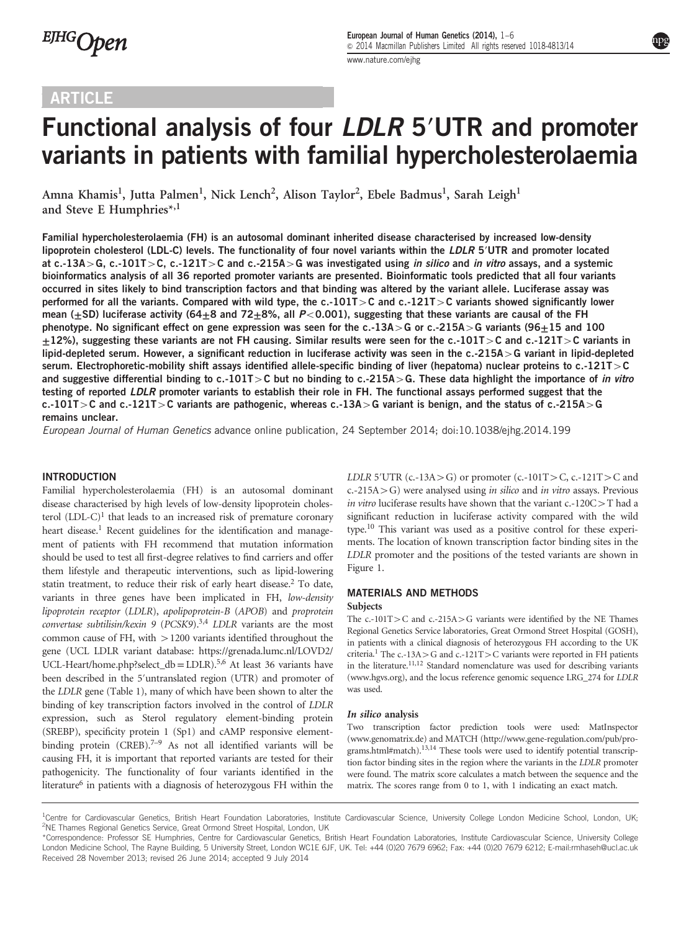## ARTICLE

# Functional analysis of four LDLR 5′UTR and promoter variants in patients with familial hypercholesterolaemia

Amna Khamis<sup>1</sup>, Jutta Palmen<sup>1</sup>, Nick Lench<sup>2</sup>, Alison Taylor<sup>2</sup>, Ebele Badmus<sup>1</sup>, Sarah Leigh<sup>1</sup> and Steve E Humphries\*,1

Familial hypercholesterolaemia (FH) is an autosomal dominant inherited disease characterised by increased low-density lipoprotein cholesterol (LDL-C) levels. The functionality of four novel variants within the LDLR 5′UTR and promoter located at c.-13A  $>$  G, c.-101T  $>$  C, c.-121T  $>$  C and c.-215A  $>$  G was investigated using *in silico* and *in vitro* assays, and a systemic bioinformatics analysis of all 36 reported promoter variants are presented. Bioinformatic tools predicted that all four variants occurred in sites likely to bind transcription factors and that binding was altered by the variant allele. Luciferase assay was performed for all the variants. Compared with wild type, the  $c.-101T>C$  and  $c.-121T>C$  variants showed significantly lower mean ( $\pm$ SD) luciferase activity (64 $\pm$ 8 and 72 $\pm$ 8%, all P<0.001), suggesting that these variants are causal of the FH phenotype. No significant effect on gene expression was seen for the c.-13A  $>$  G or c.-215A  $>$  G variants (96 $\pm$ 15 and 100  $\pm 12$ %), suggesting these variants are not FH causing. Similar results were seen for the c.-101T>C and c.-121T>C variants in lipid-depleted serum. However, a significant reduction in luciferase activity was seen in the  $c.-215A>G$  variant in lipid-depleted serum. Electrophoretic-mobility shift assays identified allele-specific binding of liver (hepatoma) nuclear proteins to c.-121T > C and suggestive differential binding to c.-101T>C but no binding to c.-215A>G. These data highlight the importance of in vitro testing of reported LDLR promoter variants to establish their role in FH. The functional assays performed suggest that the c.-101T > C and c.-121T > C variants are pathogenic, whereas c.-13A > G variant is benign, and the status of c.-215A > G remains unclear.

European Journal of Human Genetics advance online publication, 24 September 2014; doi[:10.1038/ejhg.2014.199](http://dx.doi.org/10.1038/ejhg.2014.199)

#### **INTRODUCTION**

Familial hypercholesterolaemia (FH) is an autosomal dominant disease characterised by high levels of low-density lipoprotein cholesterol  $(LDL-C)^1$  that leads to an increased risk of premature coronary heart disease.<sup>1</sup> Recent guidelines for the identification and management of patients with FH recommend that mutation information should be used to test all first-degree relatives to find carriers and offer them lifestyle and therapeutic interventions, such as lipid-lowering statin treatment, to reduce their risk of early heart disease.<sup>2</sup> To date, variants in three genes have been implicated in FH, low-density lipoprotein receptor (LDLR), apolipoprotein-B (APOB) and proprotein convertase subtilisin/kexin 9 (PCSK9). $3,4$  LDLR variants are the most common cause of FH, with  $>1200$  variants identified throughout the gene (UCL LDLR variant database: [https://grenada.lumc.nl/LOVD2/](https://grenada.lumc.nl/LOVD2/UCL-Heart/home.php?select_db�=�LDLR) [UCL-Heart/home.php?select\\_db](https://grenada.lumc.nl/LOVD2/UCL-Heart/home.php?select_db�=�LDLR) = LDLR).<sup>5,6</sup> At least 36 variants have been described in the 5′untranslated region (UTR) and promoter of the LDLR gene ([Table 1\)](#page-1-0), many of which have been shown to alter the binding of key transcription factors involved in the control of LDLR expression, such as Sterol regulatory element-binding protein (SREBP), specificity protein 1 (Sp1) and cAMP responsive elementbinding protein (CREB).<sup>7–9</sup> As not all identified variants will be causing FH, it is important that reported variants are tested for their pathogenicity. The functionality of four variants identified in the literature<sup>6</sup> in patients with a diagnosis of heterozygous FH within the LDLR 5′UTR (c.-13A > G) or promoter (c.-101T > C, c.-121T > C and  $c.-215A > G$ ) were analysed using *in silico* and *in vitro* assays. Previous *in vitro* luciferase results have shown that the variant  $c.-120C>T$  had a significant reduction in luciferase activity compared with the wild type.10 This variant was used as a positive control for these experiments. The location of known transcription factor binding sites in the LDLR promoter and the positions of the tested variants are shown in [Figure 1](#page-2-0).

### MATERIALS AND METHODS

#### Subjects

The c.-101T > C and c.-215A > G variants were identified by the NE Thames Regional Genetics Service laboratories, Great Ormond Street Hospital (GOSH), in patients with a clinical diagnosis of heterozygous FH according to the UK criteria.<sup>1</sup> The c.-13A > G and c.-121T > C variants were reported in FH patients in the literature.<sup>11,12</sup> Standard nomenclature was used for describing variants (<www.hgvs.org>), and the locus reference genomic sequence LRG\_274 for LDLR was used.

#### In silico analysis

Two transcription factor prediction tools were used: MatInspector (<www.genomatrix.de>) and MATCH [\(http://www.gene-regulation.com/pub/pro](http://www.gene-regulation.com/pub/programs.html#match)[grams.html#match\)](http://www.gene-regulation.com/pub/programs.html#match).<sup>13,14</sup> These tools were used to identify potential transcription factor binding sites in the region where the variants in the LDLR promoter were found. The matrix score calculates a match between the sequence and the matrix. The scores range from 0 to 1, with 1 indicating an exact match.

<sup>&</sup>lt;sup>1</sup>Centre for Cardiovascular Genetics, British Heart Foundation Laboratories, Institute Cardiovascular Science, University College London Medicine School, London, UK;<br><sup>2</sup>NE Thames Beginnal Constite Sention Great Ormand Str <sup>2</sup>NE Thames Regional Genetics Service, Great Ormond Street Hospital, London, UK

<sup>\*</sup>Correspondence: Professor SE Humphries, Centre for Cardiovascular Genetics, British Heart Foundation Laboratories, Institute Cardiovascular Science, University College London Medicine School, The Rayne Building, 5 University Street, London WC1E 6JF, UK. Tel: +44 (0)20 7679 6962; Fax: +44 (0)20 7679 6212; E-mail:[rmhaseh@ucl.ac.uk](mailto:rmhaseh@ucl.ac.uk) Received 28 November 2013; revised 26 June 2014; accepted 9 July 2014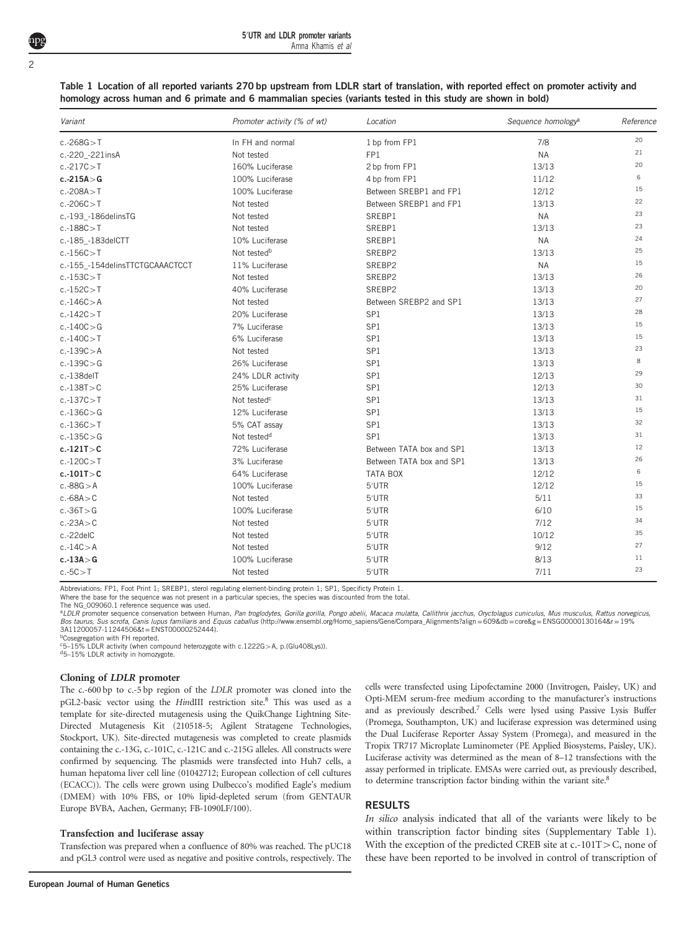| Variant                           | Promoter activity (% of wt)      | Location                 | Sequence homology <sup>a</sup> | Reference |
|-----------------------------------|----------------------------------|--------------------------|--------------------------------|-----------|
| $c.-268G > T$<br>In FH and normal |                                  | 1 bp from FP1            | 7/8                            | 20        |
| c.-220 -221insA                   | Not tested                       | FP1                      | <b>NA</b>                      | 21        |
| $c.-217C > T$                     | 160% Luciferase<br>2 bp from FP1 |                          | 13/13                          | 20        |
| $c.-215A > G$                     | 100% Luciferase                  | 4 bp from FP1            | 11/12                          | 6         |
| $c.-208A > T$                     | 100% Luciferase                  | Between SREBP1 and FP1   | 12/12                          | 15        |
| $c.-206C > T$                     | Not tested                       | Between SREBP1 and FP1   | 13/13                          | 22        |
| c.-193_-186delinsTG               | Not tested                       | SREBP1                   | <b>NA</b>                      | 23        |
| $c.-188C > T$                     | Not tested                       | SREBP1                   | 13/13                          | 23        |
| c.-185_-183delCTT                 | 10% Luciferase                   | SREBP1                   | <b>NA</b>                      | 24        |
| $c.-156C > T$                     | Not tested <sup>b</sup>          | SREBP2                   | 13/13                          | 25        |
| c.-155 -154delinsTTCTGCAAACTCCT   | 11% Luciferase                   | SREBP2                   | <b>NA</b>                      | 15        |
| $c.-153C > T$                     | Not tested                       | SREBP2                   | 13/13                          | 26        |
| $c.-152C > T$                     | 40% Luciferase                   | SREBP2                   | 13/13                          | 20        |
| $c.-146C > A$                     | Not tested                       | Between SREBP2 and SP1   | 13/13                          | 27        |
| $c.-142C > T$                     | 20% Luciferase                   | SP1                      | 13/13                          | 28        |
| $c.-140C > G$                     | 7% Luciferase                    | SP1                      | 13/13                          | 15        |
| $c.-140C > T$                     | 6% Luciferase                    | SP1                      | 13/13                          | 15        |
| $c.-139C > A$                     | Not tested                       | SP1                      | 13/13                          | 23        |
| $c.-139C > G$                     | 26% Luciferase                   | SP1                      | 13/13                          | 8         |
| c.-138delT                        | 24% LDLR activity                | SP1                      | 12/13                          | 29        |
| $c.-138T > C$                     | 25% Luciferase                   | SP1                      | 12/13                          | 30        |
| $c.-137C > T$                     | Not tested <sup>c</sup>          | SP1                      | 13/13                          | 31        |
| $c.-136C > G$                     | 12% Luciferase                   | SP1                      | 13/13                          | 15        |
| $c.-136C > T$                     | 5% CAT assay                     | SP1                      | 13/13                          | 32        |
| $c.-135C > G$                     | Not tested <sup>d</sup>          | SP1                      | 13/13                          | 31        |
| $c.-121T>C$                       | 72% Luciferase                   | Between TATA box and SP1 | 13/13                          | 12        |
| $c.-120C > T$                     | 3% Luciferase                    | Between TATA box and SP1 | 13/13                          | 26        |
| $c.-101T>C$                       | 64% Luciferase                   | <b>TATA BOX</b>          | 12/12                          | $\,$ 6    |
| $c.-88G > A$                      | 100% Luciferase                  | 5'UTR                    | 12/12                          | 15        |
| $c.-68A > C$                      | Not tested                       | 5'UTR                    | 5/11                           | 33        |
| $c.-36T > G$                      | 100% Luciferase                  | 5'UTR                    | 6/10                           | 15        |
| $c.-23A > C$                      | Not tested                       | 5'UTR                    | 7/12                           | 34        |
| c.-22delC                         | Not tested                       | 5'UTR                    | 10/12                          | 35        |
| $c.-14C > A$                      | Not tested                       | 5'UTR                    | 9/12                           | 27        |
| $c.-13A > G$                      | 100% Luciferase                  | 5'UTR                    | 8/13                           | 11        |
| $c.-5C> T$                        | Not tested                       | 5'UTR                    | 7/11                           | 23        |

<span id="page-1-0"></span>Table 1 Location of all reported variants 270 bp upstream from LDLR start of translation, with reported effect on promoter activity and homology across human and 6 primate and 6 mammalian species (variants tested in this study are shown in bold)

Abbreviations: FP1, Foot Print 1; SREBP1, sterol regulating element-binding protein 1; SP1, Specificty Protein 1.

Where the base for the sequence was not present in a particular species, the species was discounted from the total.

The NG\_009060.1 reference sequence was used.

aLDLR promoter sequence conservation between Human, Pan troglodytes, Gorilla gorilla, Pongo abelii, Macaca mulatta, Callithrix jacchus, Oryctolagus cuniculus, Mus musculus, Rattus norvegicus, Bos taurus, Sus scrofa, Canis lupus familiaris and Equus caballus (http://www.ensembl.org/Homo\_sapiens/Gene/Compara\_Alignments?align=609&db=core&g=ENSG00000130164&r=19% 3A11200057-11244506&t=ENST00000252444).

bCosegregation with FH reported.

c5–15% LDLR activity (when compound heterozygote with c.1222G > A, p.(Glu408Lys)).  $d_5$ –15% LDLR activity in homozygote.

#### Cloning of LDLR promoter

The c.-600 bp to c.-5 bp region of the LDLR promoter was cloned into the pGL2-basic vector using the HindIII restriction site.<sup>8</sup> This was used as a template for site-directed mutagenesis using the QuikChange Lightning Site-Directed Mutagenesis Kit (210518-5; Agilent Stratagene Technologies, Stockport, UK). Site-directed mutagenesis was completed to create plasmids containing the c.-13G, c.-101C, c.-121C and c.-215G alleles. All constructs were confirmed by sequencing. The plasmids were transfected into Huh7 cells, a human hepatoma liver cell line (01042712; European collection of cell cultures (ECACC)). The cells were grown using Dulbecco's modified Eagle's medium (DMEM) with 10% FBS, or 10% lipid-depleted serum (from GENTAUR Europe BVBA, Aachen, Germany; FB-1090LF/100).

#### Transfection and luciferase assay

Transfection was prepared when a confluence of 80% was reached. The pUC18 and pGL3 control were used as negative and positive controls, respectively. The

European Journal of Human Genetics

cells were transfected using Lipofectamine 2000 (Invitrogen, Paisley, UK) and Opti-MEM serum-free medium according to the manufacturer's instructions and as previously described.7 Cells were lysed using Passive Lysis Buffer (Promega, Southampton, UK) and luciferase expression was determined using the Dual Luciferase Reporter Assay System (Promega), and measured in the Tropix TR717 Microplate Luminometer (PE Applied Biosystems, Paisley, UK). Luciferase activity was determined as the mean of 8–12 transfections with the assay performed in triplicate. EMSAs were carried out, as previously described, to determine transcription factor binding within the variant site.<sup>8</sup>

#### RESULTS

In silico analysis indicated that all of the variants were likely to be within transcription factor binding sites (Supplementary Table 1). With the exception of the predicted CREB site at c.-101T > C, none of these have been reported to be involved in control of transcription of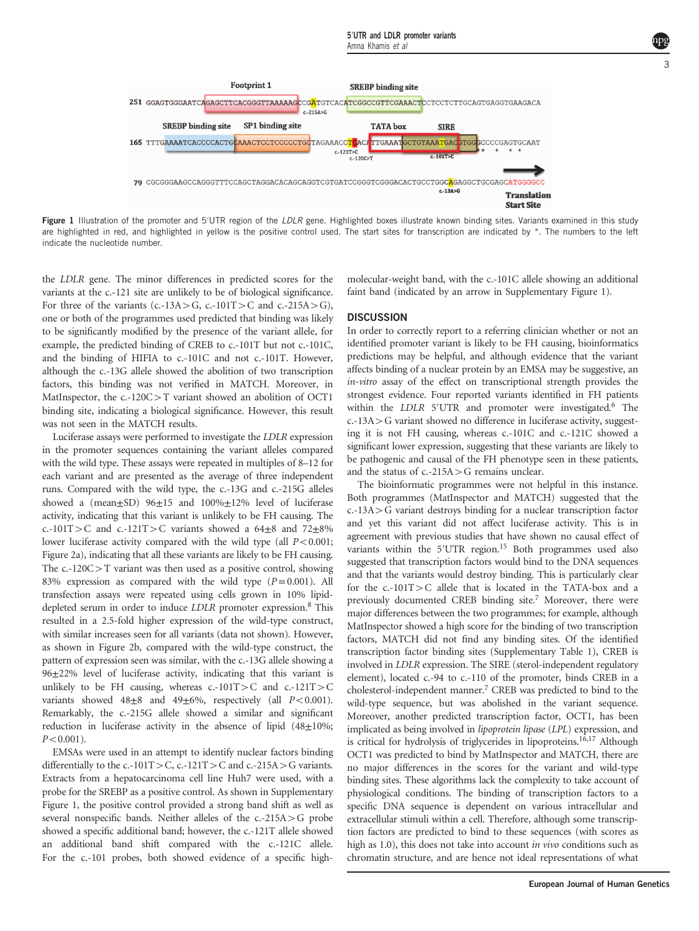<span id="page-2-0"></span>

Figure 1 Illustration of the promoter and 5′UTR region of the LDLR gene. Highlighted boxes illustrate known binding sites. Variants examined in this study are highlighted in red, and highlighted in yellow is the positive control used. The start sites for transcription are indicated by  $*$ . The numbers to the left indicate the nucleotide number.

the LDLR gene. The minor differences in predicted scores for the variants at the c.-121 site are unlikely to be of biological significance. For three of the variants (c.-13A > G, c.-101T > C and c.-215A > G), one or both of the programmes used predicted that binding was likely to be significantly modified by the presence of the variant allele, for example, the predicted binding of CREB to c.-101T but not c.-101C, and the binding of HIFIA to c.-101C and not c.-101T. However, although the c.-13G allele showed the abolition of two transcription factors, this binding was not verified in MATCH. Moreover, in MatInspector, the c.-120C $>$ T variant showed an abolition of OCT1 binding site, indicating a biological significance. However, this result was not seen in the MATCH results.

Luciferase assays were performed to investigate the LDLR expression in the promoter sequences containing the variant alleles compared with the wild type. These assays were repeated in multiples of 8–12 for each variant and are presented as the average of three independent runs. Compared with the wild type, the c.-13G and c.-215G alleles showed a (mean $\pm$ SD) 96 $\pm$ 15 and 100% $\pm$ 12% level of luciferase activity, indicating that this variant is unlikely to be FH causing. The c.-101T > C and c.-121T > C variants showed a  $64\pm8$  and  $72\pm8\%$ lower luciferase activity compared with the wild type (all  $P<0.001$ ; [Figure 2a](#page-3-0)), indicating that all these variants are likely to be FH causing. The c.-120 $C > T$  variant was then used as a positive control, showing 83% expression as compared with the wild type  $(P=0.001)$ . All transfection assays were repeated using cells grown in 10% lipiddepleted serum in order to induce LDLR promoter expression.<sup>8</sup> This resulted in a 2.5-fold higher expression of the wild-type construct, with similar increases seen for all variants (data not shown). However, as shown in [Figure 2b,](#page-3-0) compared with the wild-type construct, the pattern of expression seen was similar, with the c.-13G allele showing a 96±22% level of luciferase activity, indicating that this variant is unlikely to be FH causing, whereas c.-101T > C and c.-121T > C variants showed  $48\pm8$  and  $49\pm6\%$ , respectively (all  $P < 0.001$ ). Remarkably, the c.-215G allele showed a similar and significant reduction in luciferase activity in the absence of lipid (48±10%;  $P < 0.001$ ).

EMSAs were used in an attempt to identify nuclear factors binding differentially to the c.-101T > C, c.-121T > C and c.-215A > G variants. Extracts from a hepatocarcinoma cell line Huh7 were used, with a probe for the SREBP as a positive control. As shown in Supplementary Figure 1, the positive control provided a strong band shift as well as several nonspecific bands. Neither alleles of the c.-215A $>$ G probe showed a specific additional band; however, the c.-121T allele showed an additional band shift compared with the c.-121C allele. For the c.-101 probes, both showed evidence of a specific highmolecular-weight band, with the c.-101C allele showing an additional faint band (indicated by an arrow in Supplementary Figure 1).

#### **DISCUSSION**

In order to correctly report to a referring clinician whether or not an identified promoter variant is likely to be FH causing, bioinformatics predictions may be helpful, and although evidence that the variant affects binding of a nuclear protein by an EMSA may be suggestive, an in-vitro assay of the effect on transcriptional strength provides the strongest evidence. Four reported variants identified in FH patients within the LDLR 5′UTR and promoter were investigated.<sup>6</sup> The  $c.-13A$   $>$  G variant showed no difference in luciferase activity, suggesting it is not FH causing, whereas c.-101C and c.-121C showed a significant lower expression, suggesting that these variants are likely to be pathogenic and causal of the FH phenotype seen in these patients, and the status of  $c.-215A\geq G$  remains unclear.

The bioinformatic programmes were not helpful in this instance. Both programmes (MatInspector and MATCH) suggested that the  $c.-13A$  G variant destroys binding for a nuclear transcription factor and yet this variant did not affect luciferase activity. This is in agreement with previous studies that have shown no causal effect of variants within the 5′UTR region.<sup>15</sup> Both programmes used also suggested that transcription factors would bind to the DNA sequences and that the variants would destroy binding. This is particularly clear for the  $c.-101T>C$  allele that is located in the TATA-box and a previously documented CREB binding site.<sup>7</sup> Moreover, there were major differences between the two programmes; for example, although MatInspector showed a high score for the binding of two transcription factors, MATCH did not find any binding sites. Of the identified transcription factor binding sites (Supplementary Table 1), CREB is involved in LDLR expression. The SIRE (sterol-independent regulatory element), located c.-94 to c.-110 of the promoter, binds CREB in a cholesterol-independent manner.7 CREB was predicted to bind to the wild-type sequence, but was abolished in the variant sequence. Moreover, another predicted transcription factor, OCT1, has been implicated as being involved in lipoprotein lipase (LPL) expression, and is critical for hydrolysis of triglycerides in lipoproteins.<sup>16,17</sup> Although OCT1 was predicted to bind by MatInspector and MATCH, there are no major differences in the scores for the variant and wild-type binding sites. These algorithms lack the complexity to take account of physiological conditions. The binding of transcription factors to a specific DNA sequence is dependent on various intracellular and extracellular stimuli within a cell. Therefore, although some transcription factors are predicted to bind to these sequences (with scores as high as 1.0), this does not take into account in vivo conditions such as chromatin structure, and are hence not ideal representations of what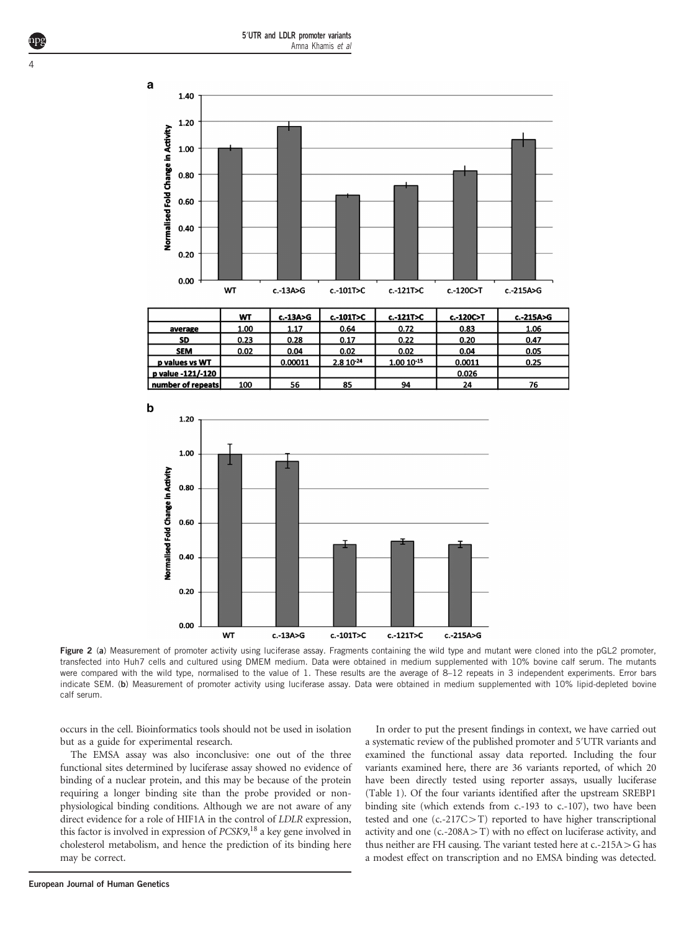<span id="page-3-0"></span>

|                   | WТ   | c.-13A>G | c.-101T>C     | c.-121T>C       | c.-120C>T | c.-215A>G |
|-------------------|------|----------|---------------|-----------------|-----------|-----------|
| average           | 1.00 | 1.17     | 0.64          | 0.72            | 0.83      | 1.06      |
| SD                | 0.23 | 0.28     | 0.17          | 0.22            | 0.20      | 0.47      |
| <b>SEM</b>        | 0.02 | 0.04     | 0.02          | 0.02            | 0.04      | 0.05      |
| p values vs WT    |      | 0.00011  | $2.810^{-24}$ | $1.00 10^{-15}$ | 0.0011    | 0.25      |
| p value -121/-120 |      |          |               |                 | 0.026     |           |
| number of repeats | 100  | 56       | 85            | 94              | 24        | 76        |



Figure 2 (a) Measurement of promoter activity using luciferase assay. Fragments containing the wild type and mutant were cloned into the pGL2 promoter, transfected into Huh7 cells and cultured using DMEM medium. Data were obtained in medium supplemented with 10% bovine calf serum. The mutants were compared with the wild type, normalised to the value of 1. These results are the average of 8-12 repeats in 3 independent experiments. Error bars indicate SEM. (b) Measurement of promoter activity using luciferase assay. Data were obtained in medium supplemented with 10% lipid-depleted bovine calf serum.

occurs in the cell. Bioinformatics tools should not be used in isolation but as a guide for experimental research.

The EMSA assay was also inconclusive: one out of the three functional sites determined by luciferase assay showed no evidence of binding of a nuclear protein, and this may be because of the protein requiring a longer binding site than the probe provided or nonphysiological binding conditions. Although we are not aware of any direct evidence for a role of HIF1A in the control of LDLR expression, this factor is involved in expression of PCSK9,<sup>18</sup> a key gene involved in cholesterol metabolism, and hence the prediction of its binding here may be correct.

In order to put the present findings in context, we have carried out a systematic review of the published promoter and 5′UTR variants and examined the functional assay data reported. Including the four variants examined here, there are 36 variants reported, of which 20 have been directly tested using reporter assays, usually luciferase ([Table 1](#page-1-0)). Of the four variants identified after the upstream SREBP1 binding site (which extends from c.-193 to c.-107), two have been tested and one  $(c.-217C>T)$  reported to have higher transcriptional activity and one  $(c.-208A>T)$  with no effect on luciferase activity, and thus neither are FH causing. The variant tested here at  $c.-215A\ge G$  has a modest effect on transcription and no EMSA binding was detected.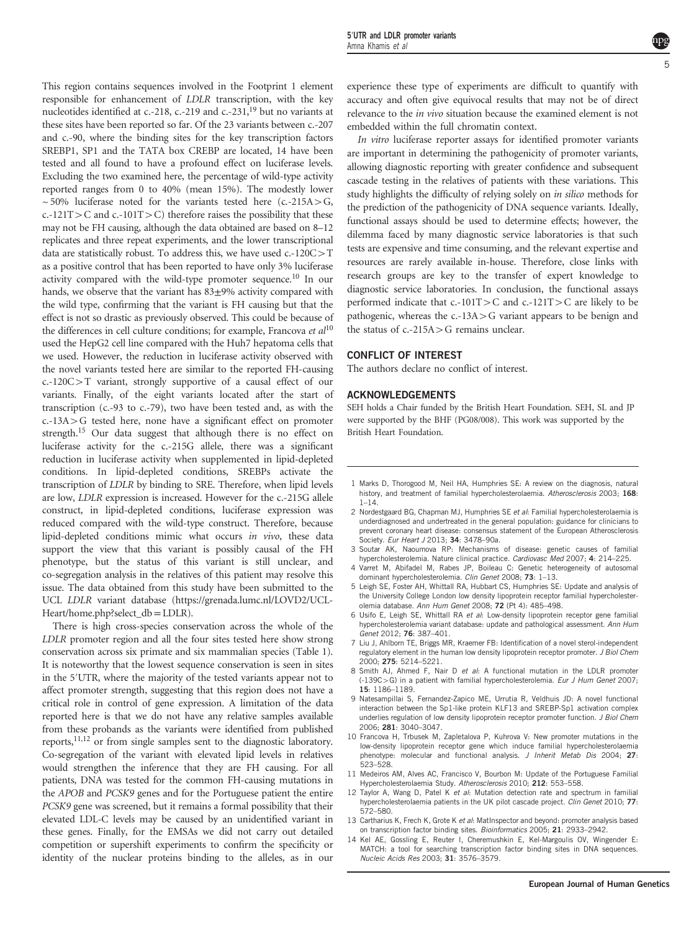This region contains sequences involved in the Footprint 1 element responsible for enhancement of LDLR transcription, with the key nucleotides identified at c.-218, c.-219 and c.-231,<sup>19</sup> but no variants at these sites have been reported so far. Of the 23 variants between c.-207 and c.-90, where the binding sites for the key transcription factors SREBP1, SP1 and the TATA box CREBP are located, 14 have been tested and all found to have a profound effect on luciferase levels. Excluding the two examined here, the percentage of wild-type activity reported ranges from 0 to 40% (mean 15%). The modestly lower  $\sim$  50% luciferase noted for the variants tested here (c.-215A  $>$  G,  $c.-121T>C$  and  $c.-101T>C$ ) therefore raises the possibility that these may not be FH causing, although the data obtained are based on 8–12 replicates and three repeat experiments, and the lower transcriptional data are statistically robust. To address this, we have used  $c.-120C>T$ as a positive control that has been reported to have only 3% luciferase activity compared with the wild-type promoter sequence.<sup>10</sup> In our hands, we observe that the variant has  $83\pm9\%$  activity compared with the wild type, confirming that the variant is FH causing but that the effect is not so drastic as previously observed. This could be because of the differences in cell culture conditions; for example, Francova et  $al^{10}$ used the HepG2 cell line compared with the Huh7 hepatoma cells that we used. However, the reduction in luciferase activity observed with the novel variants tested here are similar to the reported FH-causing  $c.-120C>T$  variant, strongly supportive of a causal effect of our variants. Finally, of the eight variants located after the start of transcription (c.-93 to c.-79), two have been tested and, as with the  $c.-13A>G$  tested here, none have a significant effect on promoter strength.15 Our data suggest that although there is no effect on luciferase activity for the c.-215G allele, there was a significant reduction in luciferase activity when supplemented in lipid-depleted conditions. In lipid-depleted conditions, SREBPs activate the transcription of LDLR by binding to SRE. Therefore, when lipid levels are low, LDLR expression is increased. However for the c.-215G allele construct, in lipid-depleted conditions, luciferase expression was reduced compared with the wild-type construct. Therefore, because lipid-depleted conditions mimic what occurs in vivo, these data support the view that this variant is possibly causal of the FH phenotype, but the status of this variant is still unclear, and co-segregation analysis in the relatives of this patient may resolve this issue. The data obtained from this study have been submitted to the UCL LDLR variant database ([https://grenada.lumc.nl/LOVD2/UCL-](https://grenada.lumc.nl/LOVD2/UCL-Heart/home.php?select_db�=�LDLR)[Heart/home.php?select\\_db](https://grenada.lumc.nl/LOVD2/UCL-Heart/home.php?select_db�=�LDLR)=LDLR).

There is high cross-species conservation across the whole of the LDLR promoter region and all the four sites tested here show strong conservation across six primate and six mammalian species [\(Table 1\)](#page-1-0). It is noteworthy that the lowest sequence conservation is seen in sites in the 5′UTR, where the majority of the tested variants appear not to affect promoter strength, suggesting that this region does not have a critical role in control of gene expression. A limitation of the data reported here is that we do not have any relative samples available from these probands as the variants were identified from published reports, $11,12$  or from single samples sent to the diagnostic laboratory. Co-segregation of the variant with elevated lipid levels in relatives would strengthen the inference that they are FH causing. For all patients, DNA was tested for the common FH-causing mutations in the APOB and PCSK9 genes and for the Portuguese patient the entire PCSK9 gene was screened, but it remains a formal possibility that their elevated LDL-C levels may be caused by an unidentified variant in these genes. Finally, for the EMSAs we did not carry out detailed competition or supershift experiments to confirm the specificity or identity of the nuclear proteins binding to the alleles, as in our experience these type of experiments are difficult to quantify with accuracy and often give equivocal results that may not be of direct relevance to the in vivo situation because the examined element is not embedded within the full chromatin context.

In vitro luciferase reporter assays for identified promoter variants are important in determining the pathogenicity of promoter variants, allowing diagnostic reporting with greater confidence and subsequent cascade testing in the relatives of patients with these variations. This study highlights the difficulty of relying solely on in silico methods for the prediction of the pathogenicity of DNA sequence variants. Ideally, functional assays should be used to determine effects; however, the dilemma faced by many diagnostic service laboratories is that such tests are expensive and time consuming, and the relevant expertise and resources are rarely available in-house. Therefore, close links with research groups are key to the transfer of expert knowledge to diagnostic service laboratories. In conclusion, the functional assays performed indicate that  $c.-101T>C$  and  $c.-121T>C$  are likely to be pathogenic, whereas the c.-13A $>$ G variant appears to be benign and the status of  $c.-215A > G$  remains unclear.

#### CONFLICT OF INTEREST

The authors declare no conflict of interest.

#### ACKNOWLEDGEMENTS

SEH holds a Chair funded by the British Heart Foundation. SEH, SL and JP were supported by the BHF (PG08/008). This work was supported by the British Heart Foundation.

- 1 Marks D, Thorogood M, Neil HA, Humphries SE: A review on the diagnosis, natural history, and treatment of familial hypercholesterolaemia. Atherosclerosis 2003; 168: 1–14.
- 2 Nordestgaard BG, Chapman MJ, Humphries SE et al: Familial hypercholesterolaemia is underdiagnosed and undertreated in the general population: guidance for clinicians to prevent coronary heart disease: consensus statement of the European Atherosclerosis .<br>Society. Eur Heart J 2013: **34**: 3478-90a.
- 3 Soutar AK, Naoumova RP: Mechanisms of disease: genetic causes of familial hypercholesterolemia. Nature clinical practice. Cardiovasc Med 2007; 4: 214-225.
- 4 Varret M, Abifadel M, Rabes JP, Boileau C: Genetic heterogeneity of autosomal dominant hypercholesterolemia. Clin Genet 2008; 73: 1–13.
- 5 Leigh SE, Foster AH, Whittall RA, Hubbart CS, Humphries SE: Update and analysis of the University College London low density lipoprotein receptor familial hypercholesterolemia database. Ann Hum Genet 2008; 72 (Pt 4): 485–498.
- 6 Usifo E, Leigh SE, Whittall RA et al: Low-density lipoprotein receptor gene familial hypercholesterolemia variant database: update and pathological assessment. Ann Hum Genet 2012; 76: 387–401.
- 7 Liu J, Ahlborn TE, Briggs MR, Kraemer FB: Identification of a novel sterol-independent regulatory element in the human low density lipoprotein receptor promoter. J Biol Chem 2000; 275: 5214–5221.
- 8 Smith AJ, Ahmed F, Nair D et al: A functional mutation in the LDLR promoter (-139C>G) in a patient with familial hypercholesterolemia. Eur J Hum Genet 2007; 15: 1186–1189.
- 9 Natesampillai S, Fernandez-Zapico ME, Urrutia R, Veldhuis JD: A novel functional interaction between the Sp1-like protein KLF13 and SREBP-Sp1 activation complex underlies regulation of low density lipoprotein receptor promoter function. J Biol Chem 2006; 281: 3040–3047.
- 10 Francova H, Trbusek M, Zapletalova P, Kuhrova V: New promoter mutations in the low-density lipoprotein receptor gene which induce familial hypercholesterolaemia phenotype: molecular and functional analysis. J Inherit Metab Dis 2004: 27: 523–528.
- 11 Medeiros AM, Alves AC, Francisco V, Bourbon M: Update of the Portuguese Familial Hypercholesterolaemia Study. Atherosclerosis 2010; 212: 553–558.
- 12 Taylor A, Wang D, Patel K et al: Mutation detection rate and spectrum in familial hypercholesterolaemia patients in the UK pilot cascade project. Clin Genet 2010; 77: 572–580.
- 13 Cartharius K, Frech K, Grote K et al: MatInspector and beyond: promoter analysis based on transcription factor binding sites. Bioinformatics 2005; 21: 2933–2942.
- 14 Kel AE, Gossling E, Reuter I, Cheremushkin E, Kel-Margoulis OV, Wingender E: MATCH: a tool for searching transcription factor binding sites in DNA sequences. Nucleic Acids Res 2003; 31: 3576–3579.